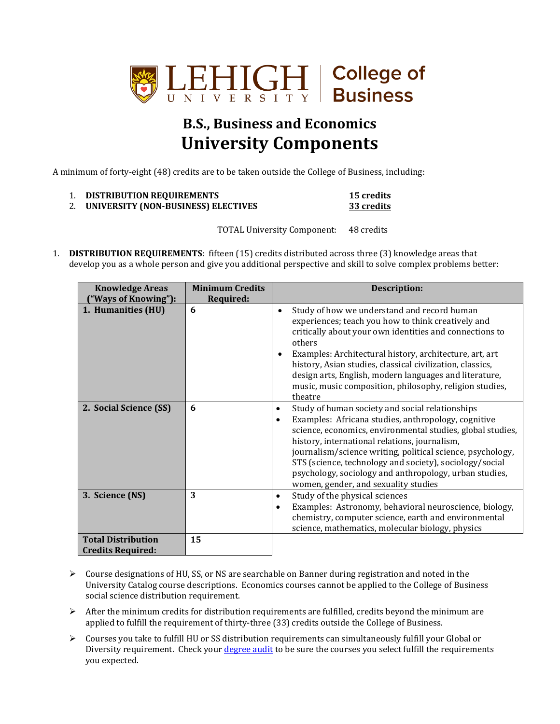

## **B.S., Business and Economics University Components**

A minimum of forty-eight (48) credits are to be taken outside the College of Business, including:

| 1. | <b>DISTRIBUTION REQUIREMENTS</b> |  |
|----|----------------------------------|--|
|----|----------------------------------|--|

```
15 credits
2. UNIVERSITY (NON-BUSINESS) ELECTIVES 33 credits
```
TOTAL University Component: 48 credits

1. **DISTRIBUTION REQUIREMENTS**: fifteen (15) credits distributed across three (3) knowledge areas that develop you as a whole person and give you additional perspective and skill to solve complex problems better:

| <b>Knowledge Areas</b>                                | <b>Minimum Credits</b> | <b>Description:</b>                                                                                                                                                                                                                                                                                                                                                                                                                                                |  |
|-------------------------------------------------------|------------------------|--------------------------------------------------------------------------------------------------------------------------------------------------------------------------------------------------------------------------------------------------------------------------------------------------------------------------------------------------------------------------------------------------------------------------------------------------------------------|--|
| ("Ways of Knowing"):<br>1. Humanities (HU)            | Required:<br>6         | Study of how we understand and record human<br>$\bullet$<br>experiences; teach you how to think creatively and<br>critically about your own identities and connections to<br>others<br>Examples: Architectural history, architecture, art, art<br>history, Asian studies, classical civilization, classics,<br>design arts, English, modern languages and literature,<br>music, music composition, philosophy, religion studies,<br>theatre                        |  |
| 2. Social Science (SS)                                | 6                      | Study of human society and social relationships<br>٠<br>Examples: Africana studies, anthropology, cognitive<br>$\bullet$<br>science, economics, environmental studies, global studies,<br>history, international relations, journalism,<br>journalism/science writing, political science, psychology,<br>STS (science, technology and society), sociology/social<br>psychology, sociology and anthropology, urban studies,<br>women, gender, and sexuality studies |  |
| 3. Science (NS)                                       | 3                      | Study of the physical sciences<br>$\bullet$<br>Examples: Astronomy, behavioral neuroscience, biology,<br>$\bullet$<br>chemistry, computer science, earth and environmental<br>science, mathematics, molecular biology, physics                                                                                                                                                                                                                                     |  |
| <b>Total Distribution</b><br><b>Credits Required:</b> | 15                     |                                                                                                                                                                                                                                                                                                                                                                                                                                                                    |  |

- $\triangleright$  Course designations of HU, SS, or NS are searchable on Banner during registration and noted in the University Catalog course descriptions. Economics courses cannot be applied to the College of Business social science distribution requirement.
- $\triangleright$  After the minimum credits for distribution requirements are fulfilled, credits beyond the minimum are applied to fulfill the requirement of thirty-three (33) credits outside the College of Business.
- Courses you take to fulfill HU or SS distribution requirements can simultaneously fulfill your Global or Diversity requirement. Check you[r degree audit](https://degreeaudit.lehigh.edu:8445/selfservice-batch/general/home.html) to be sure the courses you select fulfill the requirements you expected.